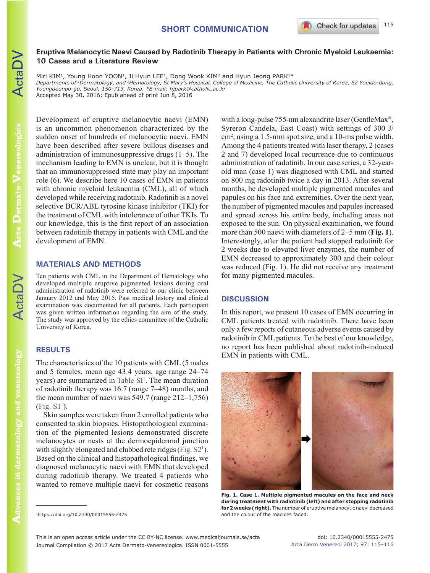## **Eruptive Melanocytic Naevi Caused by Radotinib Therapy in Patients with Chronic Myeloid Leukaemia: 10 Cases and a Literature Review**

Miri KIM<sup>1</sup>, Young Hoon YOON<sup>1</sup>, Ji Hyun LEE<sup>1</sup>, Dong Wook KIM<sup>2</sup> and Hyun Jeong PARK<sup>1\*</sup> *Departments of 1Dermatology, and 2Hematology, St Mary's Hospital, College of Medicine, The Catholic University of Korea, 62 Youido-dong, Youngdeunpo-gu, Seoul, 150-713, Korea. \*E-mail: hjpark@catholic.ac.kr*

Accepted May 30, 2016; Epub ahead of print Jun 8, 2016

Development of eruptive melanocytic naevi (EMN) is an uncommon phenomenon characterized by the sudden onset of hundreds of melanocytic naevi. EMN have been described after severe bullous diseases and administration of immunosuppressive drugs (1–5). The mechanism leading to EMN is unclear, but it is thought that an immunosuppressed state may play an important role (6). We describe here 10 cases of EMN in patients with chronic myeloid leukaemia (CML), all of which developed while receiving radotinib. Radotinib is a novel selective BCR/ABL tyrosine kinase inhibitor (TKI) for the treatment of CML with intolerance of other TKIs. To our knowledge, this is the first report of an association between radotinib therapy in patients with CML and the development of EMN.

## **MATERIALS AND METHODS**

Ten patients with CML in the Department of Hematology who developed multiple eruptive pigmented lesions during oral administration of radotinib were referred to our clinic between January 2012 and May 2015. Past medical history and clinical examination was documented for all patients. Each participant was given written information regarding the aim of the study. The study was approved by the ethics committee of the Catholic University of Korea.

# **RESULTS**

The characteristics of the 10 patients with CML (5 males and 5 females, mean age 43.4 years, age range 24–74 years) are summarized in [Table SI](https://doi.org/10.2340/00015555-2475)<sup>1</sup>. The mean duration of radotinib therapy was 16.7 (range 7–48) months, and the mean number of naevi was 549.7 (range 212–1,756) ([Fig. S1](https://doi.org/10.2340/00015555-2475)1 ).

Skin samples were taken from 2 enrolled patients who consented to skin biopsies. Histopathological examination of the pigmented lesions demonstrated discrete melanocytes or nests at the dermoepidermal junction with slightly elongated and clubbed rete ridges [\(Fig. S2](https://doi.org/10.2340/00015555-2475)<sup>1</sup>). Based on the clinical and histopathological findings, we diagnosed melanocytic naevi with EMN that developed during radotinib therapy. We treated 4 patients who wanted to remove multiple naevi for cosmetic reasons

with a long-pulse 755-nm alexandrite laser (GentleMax®, Syreron Candela, East Coast) with settings of 300 J/ cm2 , using a 1.5-mm spot size, and a 10-ms pulse width. Among the 4 patients treated with laser therapy, 2 (cases 2 and 7) developed local recurrence due to continuous administration of radotinib. In our case series, a 32-yearold man (case 1) was diagnosed with CML and started on 800 mg radotinib twice a day in 2013. After several months, he developed multiple pigmented macules and papules on his face and extremities. Over the next year, the number of pigmented macules and papules increased and spread across his entire body, including areas not exposed to the sun. On physical examination, we found more than 500 naevi with diameters of 2–5 mm (**Fig. 1**). Interestingly, after the patient had stopped radotinib for 2 weeks due to elevated liver enzymes, the number of EMN decreased to approximately 300 and their colour was reduced (Fig. 1). He did not receive any treatment for many pigmented macules.

## **DISCUSSION**

In this report, we present 10 cases of EMN occurring in CML patients treated with radotinib. There have been only a few reports of cutaneous adverse events caused by radotinib in CML patients. To the best of our knowledge, no report has been published about radotinib-induced EMN in patients with CML.



**Fig. 1. Case 1. Multiple pigmented macules on the face and neck during treatment with radiotinib (left) and after stopping radotinib for 2 weeks (right).** The number of eruptive melanocytic naevi decreased

ActaDV

and the colour of the macules faded. 1https://doi.org/10.2340/00015555-2475